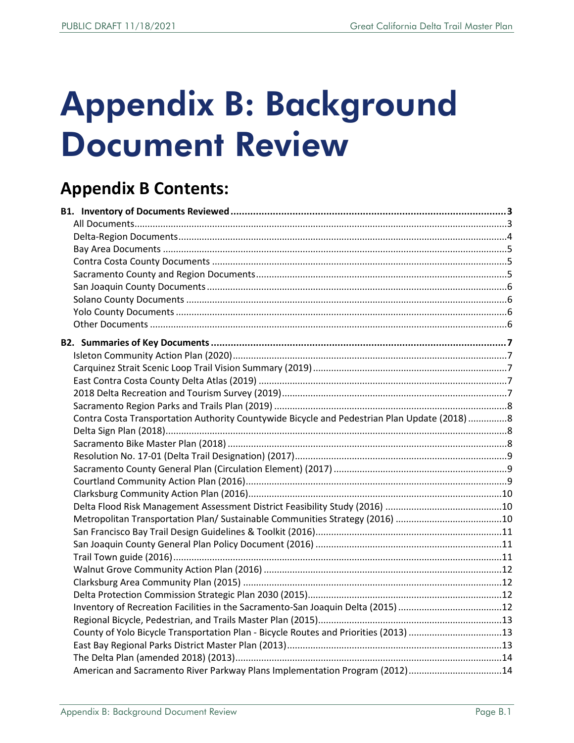# Appendix B: Background Document Review

# **Appendix B Contents:**

| Contra Costa Transportation Authority Countywide Bicycle and Pedestrian Plan Update (2018) 8 |  |
|----------------------------------------------------------------------------------------------|--|
|                                                                                              |  |
|                                                                                              |  |
|                                                                                              |  |
|                                                                                              |  |
|                                                                                              |  |
|                                                                                              |  |
|                                                                                              |  |
|                                                                                              |  |
|                                                                                              |  |
|                                                                                              |  |
|                                                                                              |  |
|                                                                                              |  |
|                                                                                              |  |
|                                                                                              |  |
| Inventory of Recreation Facilities in the Sacramento-San Joaquin Delta (2015) 12             |  |
|                                                                                              |  |
| County of Yolo Bicycle Transportation Plan - Bicycle Routes and Priorities (2013) 13         |  |
|                                                                                              |  |
|                                                                                              |  |
| American and Sacramento River Parkway Plans Implementation Program (2012)14                  |  |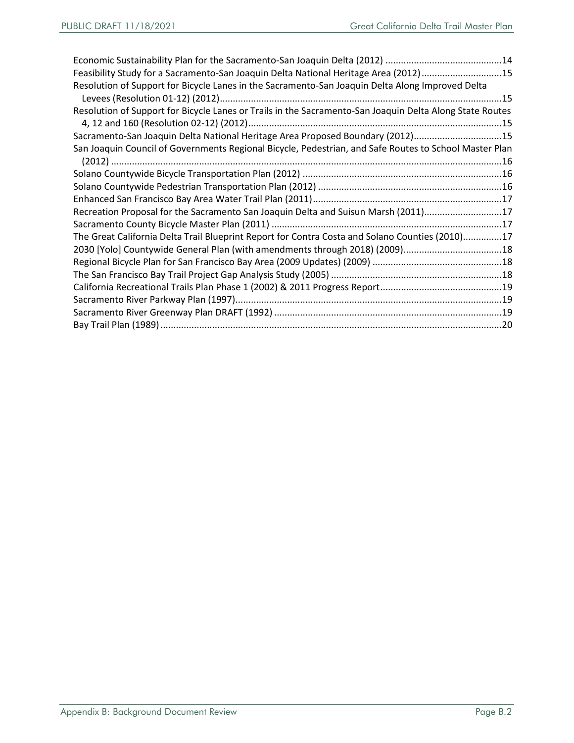| Feasibility Study for a Sacramento-San Joaquin Delta National Heritage Area (2012)15                     |  |
|----------------------------------------------------------------------------------------------------------|--|
| Resolution of Support for Bicycle Lanes in the Sacramento-San Joaquin Delta Along Improved Delta         |  |
|                                                                                                          |  |
| Resolution of Support for Bicycle Lanes or Trails in the Sacramento-San Joaquin Delta Along State Routes |  |
|                                                                                                          |  |
| Sacramento-San Joaquin Delta National Heritage Area Proposed Boundary (2012)15                           |  |
| San Joaquin Council of Governments Regional Bicycle, Pedestrian, and Safe Routes to School Master Plan   |  |
|                                                                                                          |  |
|                                                                                                          |  |
|                                                                                                          |  |
|                                                                                                          |  |
| Recreation Proposal for the Sacramento San Joaquin Delta and Suisun Marsh (2011)17                       |  |
|                                                                                                          |  |
| The Great California Delta Trail Blueprint Report for Contra Costa and Solano Counties (2010)17          |  |
| 2030 [Yolo] Countywide General Plan (with amendments through 2018) (2009)18                              |  |
|                                                                                                          |  |
|                                                                                                          |  |
|                                                                                                          |  |
|                                                                                                          |  |
|                                                                                                          |  |
|                                                                                                          |  |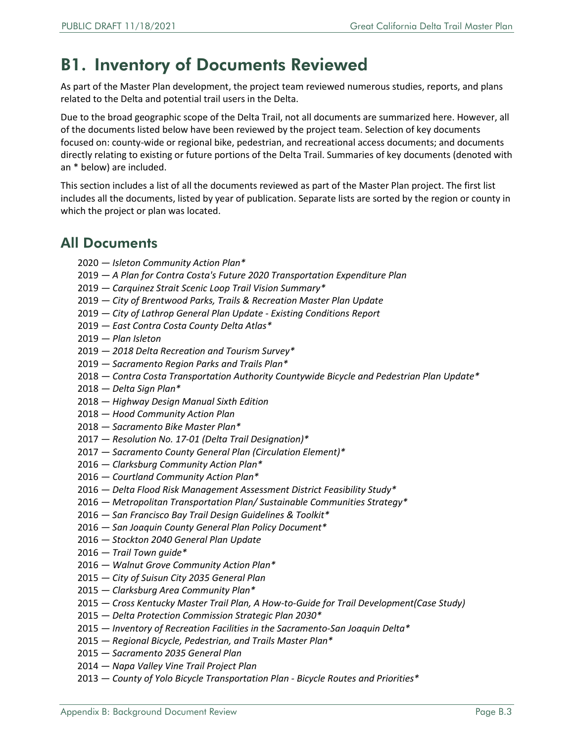## <span id="page-2-0"></span>B1. Inventory of Documents Reviewed

As part of the Master Plan development, the project team reviewed numerous studies, reports, and plans related to the Delta and potential trail users in the Delta.

Due to the broad geographic scope of the Delta Trail, not all documents are summarized here. However, all of the documents listed below have been reviewed by the project team. Selection of key documents focused on: county-wide or regional bike, pedestrian, and recreational access documents; and documents directly relating to existing or future portions of the Delta Trail. Summaries of key documents (denoted with an \* below) are included.

This section includes a list of all the documents reviewed as part of the Master Plan project. The first list includes all the documents, listed by year of publication. Separate lists are sorted by the region or county in which the project or plan was located.

#### <span id="page-2-1"></span>All Documents

- *Isleton Community Action Plan\**
- *A Plan for Contra Costa's Future 2020 Transportation Expenditure Plan*
- *Carquinez Strait Scenic Loop Trail Vision Summary\**
- *City of Brentwood Parks, Trails & Recreation Master Plan Update*
- *City of Lathrop General Plan Update Existing Conditions Report*
- *East Contra Costa County Delta Atlas\**
- *Plan Isleton*
- *2018 Delta Recreation and Tourism Survey\**
- *Sacramento Region Parks and Trails Plan\**
- *Contra Costa Transportation Authority Countywide Bicycle and Pedestrian Plan Update\**
- *Delta Sign Plan\**
- *Highway Design Manual Sixth Edition*
- *Hood Community Action Plan*
- *Sacramento Bike Master Plan\**
- *Resolution No. 17-01 (Delta Trail Designation)\**
- *Sacramento County General Plan (Circulation Element)\**
- *Clarksburg Community Action Plan\**
- *Courtland Community Action Plan\**
- *Delta Flood Risk Management Assessment District Feasibility Study\**
- *Metropolitan Transportation Plan/ Sustainable Communities Strategy\**
- *San Francisco Bay Trail Design Guidelines & Toolkit\**
- *San Joaquin County General Plan Policy Document\**
- *Stockton 2040 General Plan Update*
- *Trail Town guide\**
- *Walnut Grove Community Action Plan\**
- *City of Suisun City 2035 General Plan*
- *— Clarksburg Area Community Plan\**
- *Cross Kentucky Master Trail Plan, A How-to-Guide for Trail Development(Case Study)*
- *Delta Protection Commission Strategic Plan 2030\**
- *Inventory of Recreation Facilities in the Sacramento-San Joaquin Delta\**
- *Regional Bicycle, Pedestrian, and Trails Master Plan\**
- *Sacramento 2035 General Plan*
- *Napa Valley Vine Trail Project Plan*
- *County of Yolo Bicycle Transportation Plan Bicycle Routes and Priorities\**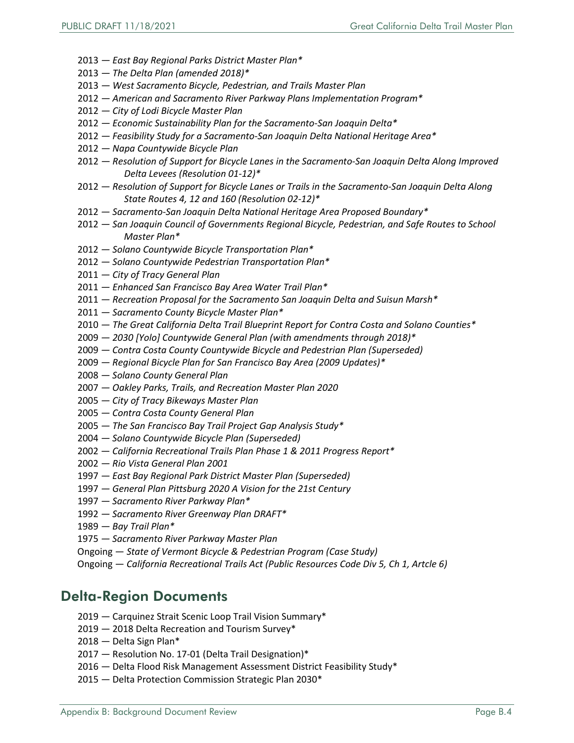- *East Bay Regional Parks District Master Plan\**
- *The Delta Plan (amended 2018)\**
- *West Sacramento Bicycle, Pedestrian, and Trails Master Plan*
- *American and Sacramento River Parkway Plans Implementation Program\**
- *City of Lodi Bicycle Master Plan*
- *Economic Sustainability Plan for the Sacramento-San Joaquin Delta\**
- *Feasibility Study for a Sacramento-San Joaquin Delta National Heritage Area\**
- *Napa Countywide Bicycle Plan*
- *Resolution of Support for Bicycle Lanes in the Sacramento-San Joaquin Delta Along Improved Delta Levees (Resolution 01-12)\**
- *Resolution of Support for Bicycle Lanes or Trails in the Sacramento-San Joaquin Delta Along State Routes 4, 12 and 160 (Resolution 02-12)\**
- *Sacramento-San Joaquin Delta National Heritage Area Proposed Boundary\**
- *San Joaquin Council of Governments Regional Bicycle, Pedestrian, and Safe Routes to School Master Plan\**
- *Solano Countywide Bicycle Transportation Plan\**
- *Solano Countywide Pedestrian Transportation Plan\**
- *City of Tracy General Plan*
- *Enhanced San Francisco Bay Area Water Trail Plan\**
- *Recreation Proposal for the Sacramento San Joaquin Delta and Suisun Marsh\**
- *Sacramento County Bicycle Master Plan\**
- *The Great California Delta Trail Blueprint Report for Contra Costa and Solano Counties\**
- *2030 [Yolo] Countywide General Plan (with amendments through 2018)\**
- *Contra Costa County Countywide Bicycle and Pedestrian Plan (Superseded)*
- *Regional Bicycle Plan for San Francisco Bay Area (2009 Updates)\**
- *Solano County General Plan*
- *Oakley Parks, Trails, and Recreation Master Plan 2020*
- *City of Tracy Bikeways Master Plan*
- *Contra Costa County General Plan*
- *The San Francisco Bay Trail Project Gap Analysis Study\**
- *Solano Countywide Bicycle Plan (Superseded)*
- 2002 *California Recreational Trails Plan Phase 1 & 2011 Progress Report\**
- *Rio Vista General Plan 2001*
- *East Bay Regional Park District Master Plan (Superseded)*
- *General Plan Pittsburg 2020 A Vision for the 21st Century*
- *Sacramento River Parkway Plan\**
- *Sacramento River Greenway Plan DRAFT\**
- *Bay Trail Plan\**
- *Sacramento River Parkway Master Plan*
- Ongoing *State of Vermont Bicycle & Pedestrian Program (Case Study)*
- Ongoing *California Recreational Trails Act (Public Resources Code Div 5, Ch 1, Artcle 6)*

#### <span id="page-3-0"></span>Delta-Region Documents

- 2019 Carquinez Strait Scenic Loop Trail Vision Summary\*
- 2019 2018 Delta Recreation and Tourism Survey\*
- 2018 Delta Sign Plan\*
- 2017 Resolution No. 17-01 (Delta Trail Designation)\*
- 2016 Delta Flood Risk Management Assessment District Feasibility Study\*
- 2015 Delta Protection Commission Strategic Plan 2030\*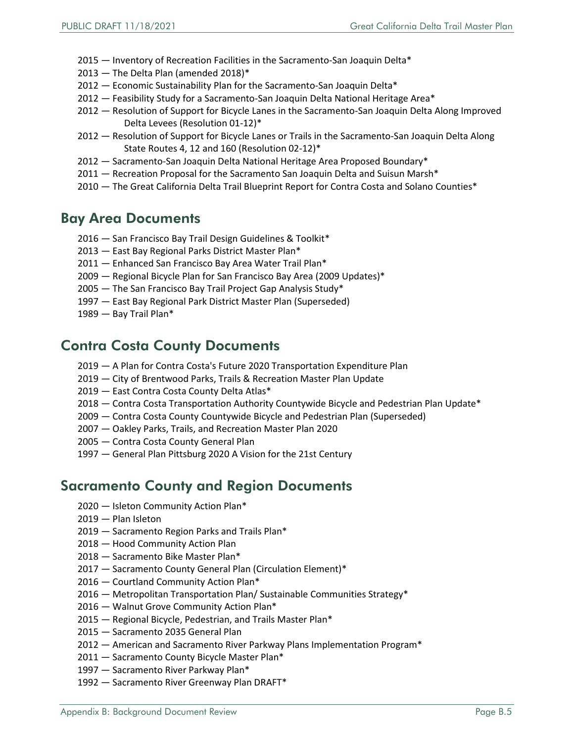- 2015 Inventory of Recreation Facilities in the Sacramento-San Joaquin Delta\*
- 2013 The Delta Plan (amended 2018)\*
- 2012 Economic Sustainability Plan for the Sacramento-San Joaquin Delta\*
- 2012 Feasibility Study for a Sacramento-San Joaquin Delta National Heritage Area\*
- 2012 Resolution of Support for Bicycle Lanes in the Sacramento-San Joaquin Delta Along Improved Delta Levees (Resolution 01-12)\*
- 2012 Resolution of Support for Bicycle Lanes or Trails in the Sacramento-San Joaquin Delta Along State Routes 4, 12 and 160 (Resolution 02-12)\*
- 2012 Sacramento-San Joaquin Delta National Heritage Area Proposed Boundary\*
- 2011 Recreation Proposal for the Sacramento San Joaquin Delta and Suisun Marsh\*
- 2010 The Great California Delta Trail Blueprint Report for Contra Costa and Solano Counties\*

#### <span id="page-4-0"></span>Bay Area Documents

- 2016 San Francisco Bay Trail Design Guidelines & Toolkit\*
- 2013 East Bay Regional Parks District Master Plan\*
- 2011 Enhanced San Francisco Bay Area Water Trail Plan\*
- 2009 Regional Bicycle Plan for San Francisco Bay Area (2009 Updates)\*
- 2005 The San Francisco Bay Trail Project Gap Analysis Study\*
- 1997 East Bay Regional Park District Master Plan (Superseded)
- 1989 Bay Trail Plan\*

#### <span id="page-4-1"></span>Contra Costa County Documents

- 2019 A Plan for Contra Costa's Future 2020 Transportation Expenditure Plan
- 2019 City of Brentwood Parks, Trails & Recreation Master Plan Update
- 2019 East Contra Costa County Delta Atlas\*
- 2018 Contra Costa Transportation Authority Countywide Bicycle and Pedestrian Plan Update\*
- 2009 Contra Costa County Countywide Bicycle and Pedestrian Plan (Superseded)
- 2007 Oakley Parks, Trails, and Recreation Master Plan 2020
- 2005 Contra Costa County General Plan
- 1997 General Plan Pittsburg 2020 A Vision for the 21st Century

#### <span id="page-4-2"></span>Sacramento County and Region Documents

- 2020 Isleton Community Action Plan\*
- 2019 Plan Isleton
- 2019 Sacramento Region Parks and Trails Plan\*
- 2018 Hood Community Action Plan
- 2018 Sacramento Bike Master Plan\*
- 2017 Sacramento County General Plan (Circulation Element)\*
- 2016 Courtland Community Action Plan\*
- 2016 Metropolitan Transportation Plan/ Sustainable Communities Strategy\*
- 2016 Walnut Grove Community Action Plan\*
- 2015 Regional Bicycle, Pedestrian, and Trails Master Plan\*
- 2015 Sacramento 2035 General Plan
- 2012 American and Sacramento River Parkway Plans Implementation Program\*
- 2011 Sacramento County Bicycle Master Plan\*
- 1997 Sacramento River Parkway Plan\*
- 1992 Sacramento River Greenway Plan DRAFT\*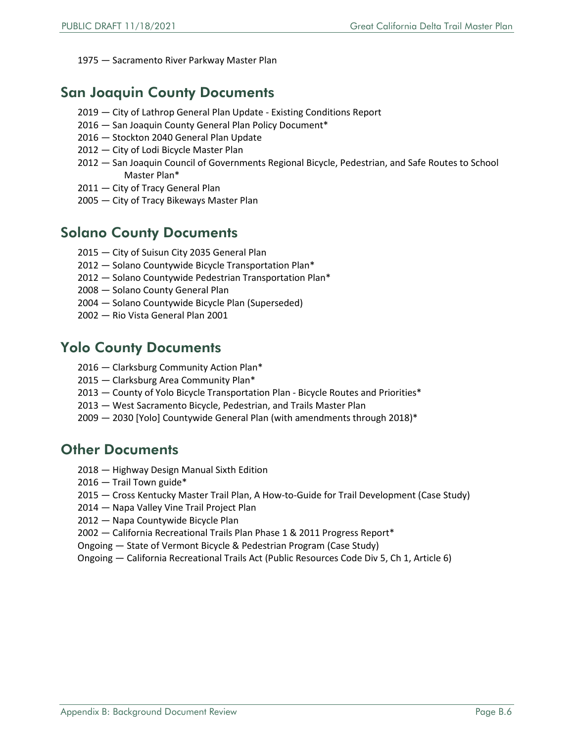1975 — Sacramento River Parkway Master Plan

#### <span id="page-5-0"></span>San Joaquin County Documents

- 2019 City of Lathrop General Plan Update Existing Conditions Report
- 2016 San Joaquin County General Plan Policy Document\*
- 2016 Stockton 2040 General Plan Update
- 2012 City of Lodi Bicycle Master Plan
- 2012 San Joaquin Council of Governments Regional Bicycle, Pedestrian, and Safe Routes to School Master Plan\*
- 2011 City of Tracy General Plan
- 2005 City of Tracy Bikeways Master Plan

#### <span id="page-5-1"></span>Solano County Documents

- 2015 City of Suisun City 2035 General Plan
- 2012 Solano Countywide Bicycle Transportation Plan\*
- 2012 Solano Countywide Pedestrian Transportation Plan\*
- 2008 Solano County General Plan
- 2004 Solano Countywide Bicycle Plan (Superseded)
- 2002 Rio Vista General Plan 2001

#### <span id="page-5-2"></span>Yolo County Documents

- 2016 Clarksburg Community Action Plan\*
- 2015 *—* Clarksburg Area Community Plan\*
- 2013 County of Yolo Bicycle Transportation Plan Bicycle Routes and Priorities\*
- 2013 West Sacramento Bicycle, Pedestrian, and Trails Master Plan
- 2009 2030 [Yolo] Countywide General Plan (with amendments through 2018)\*

#### <span id="page-5-3"></span>Other Documents

- 2018 Highway Design Manual Sixth Edition
- 2016 Trail Town guide\*
- 2015 Cross Kentucky Master Trail Plan, A How-to-Guide for Trail Development (Case Study)
- 2014 Napa Valley Vine Trail Project Plan
- 2012 Napa Countywide Bicycle Plan
- 2002 California Recreational Trails Plan Phase 1 & 2011 Progress Report\*
- Ongoing State of Vermont Bicycle & Pedestrian Program (Case Study)
- Ongoing California Recreational Trails Act (Public Resources Code Div 5, Ch 1, Article 6)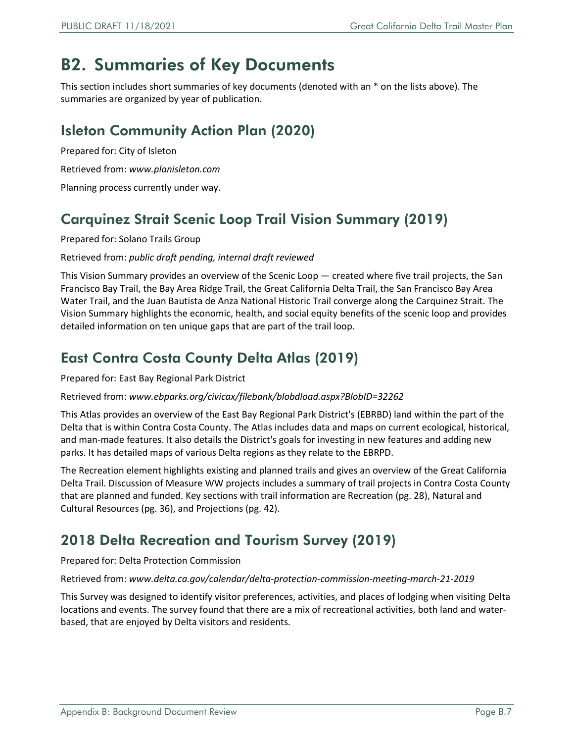# <span id="page-6-0"></span>B2. Summaries of Key Documents

This section includes short summaries of key documents (denoted with an \* on the lists above). The summaries are organized by year of publication.

### <span id="page-6-1"></span>Isleton Community Action Plan (2020)

Prepared for: City of Isleton

Retrieved from: *[www.planisleton.com](http://www.planisleton.com/)*

Planning process currently under way.

### <span id="page-6-2"></span>Carquinez Strait Scenic Loop Trail Vision Summary (2019)

Prepared for: Solano Trails Group

#### Retrieved from: *public draft pending, internal draft reviewed*

This Vision Summary provides an overview of the Scenic Loop — created where five trail projects, the San Francisco Bay Trail, the Bay Area Ridge Trail, the Great California Delta Trail, the San Francisco Bay Area Water Trail, and the Juan Bautista de Anza National Historic Trail converge along the Carquinez Strait. The Vision Summary highlights the economic, health, and social equity benefits of the scenic loop and provides detailed information on ten unique gaps that are part of the trail loop.

#### <span id="page-6-3"></span>East Contra Costa County Delta Atlas (2019)

Prepared for: East Bay Regional Park District

Retrieved from: *[www.ebparks.org/civicax/filebank/blobdload.aspx?BlobID=32262](http://www.ebparks.org/civicax/filebank/blobdload.aspx?BlobID=32262)*

This Atlas provides an overview of the East Bay Regional Park District's (EBRBD) land within the part of the Delta that is within Contra Costa County. The Atlas includes data and maps on current ecological, historical, and man-made features. It also details the District's goals for investing in new features and adding new parks. It has detailed maps of various Delta regions as they relate to the EBRPD.

The Recreation element highlights existing and planned trails and gives an overview of the Great California Delta Trail. Discussion of Measure WW projects includes a summary of trail projects in Contra Costa County that are planned and funded. Key sections with trail information are Recreation (pg. 28), Natural and Cultural Resources (pg. 36), and Projections (pg. 42).

#### <span id="page-6-4"></span>2018 Delta Recreation and Tourism Survey (2019)

Prepared for: Delta Protection Commission

Retrieved from: *[www.delta.ca.gov/calendar/delta-protection-commission-meeting-march-21-2019](http://www.delta.ca.gov/calendar/delta-protection-commission-meeting-march-21-2019)*

This Survey was designed to identify visitor preferences, activities, and places of lodging when visiting Delta locations and events. The survey found that there are a mix of recreational activities, both land and waterbased, that are enjoyed by Delta visitors and residents.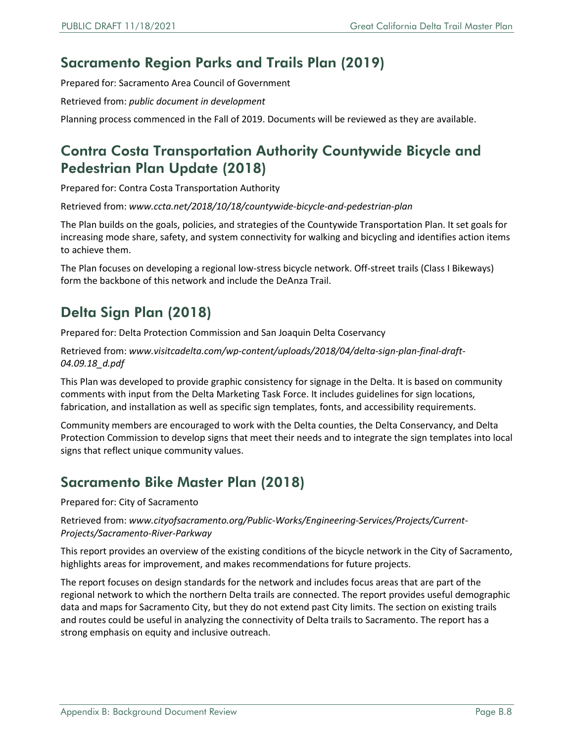#### <span id="page-7-0"></span>Sacramento Region Parks and Trails Plan (2019)

Prepared for: Sacramento Area Council of Government

Retrieved from: *public document in development*

Planning process commenced in the Fall of 2019. Documents will be reviewed as they are available.

#### <span id="page-7-1"></span>Contra Costa Transportation Authority Countywide Bicycle and Pedestrian Plan Update (2018)

Prepared for: Contra Costa Transportation Authority

Retrieved from: *[www.ccta.net/2018/10/18/countywide-bicycle-and-pedestrian-plan](http://www.ccta.net/2018/10/18/countywide-bicycle-and-pedestrian-plan)*

The Plan builds on the goals, policies, and strategies of the Countywide Transportation Plan. It set goals for increasing mode share, safety, and system connectivity for walking and bicycling and identifies action items to achieve them.

The Plan focuses on developing a regional low-stress bicycle network. Off-street trails (Class I Bikeways) form the backbone of this network and include the DeAnza Trail.

### <span id="page-7-2"></span>Delta Sign Plan (2018)

Prepared for: Delta Protection Commission and San Joaquin Delta Coservancy

Retrieved from: *[www.visitcadelta.com/wp-content/uploads/2018/04/delta-sign-plan-final-draft-](http://www.visitcadelta.com/wp-content/uploads/2018/04/delta-sign-plan-final-draft-04.09.18_d.pdf)04.09.18\_d.pdf*

This Plan was developed to provide graphic consistency for signage in the Delta. It is based on community comments with input from the Delta Marketing Task Force. It includes guidelines for sign locations, fabrication, and installation as well as specific sign templates, fonts, and accessibility requirements.

Community members are encouraged to work with the Delta counties, the Delta Conservancy, and Delta Protection Commission to develop signs that meet their needs and to integrate the sign templates into local signs that reflect unique community values.

#### <span id="page-7-3"></span>Sacramento Bike Master Plan (2018)

Prepared for: City of Sacramento

#### Retrieved from: *[www.cityofsacramento.org/Public-Works/Engineering-Services/Projects/Current-](http://www.cityofsacramento.org/Public-Works/Engineering-Services/Projects/Current-Projects/Sacramento-River-Parkway)Projects/Sacramento-River-Parkway*

This report provides an overview of the existing conditions of the bicycle network in the City of Sacramento, highlights areas for improvement, and makes recommendations for future projects.

The report focuses on design standards for the network and includes focus areas that are part of the regional network to which the northern Delta trails are connected. The report provides useful demographic data and maps for Sacramento City, but they do not extend past City limits. The section on existing trails and routes could be useful in analyzing the connectivity of Delta trails to Sacramento. The report has a strong emphasis on equity and inclusive outreach.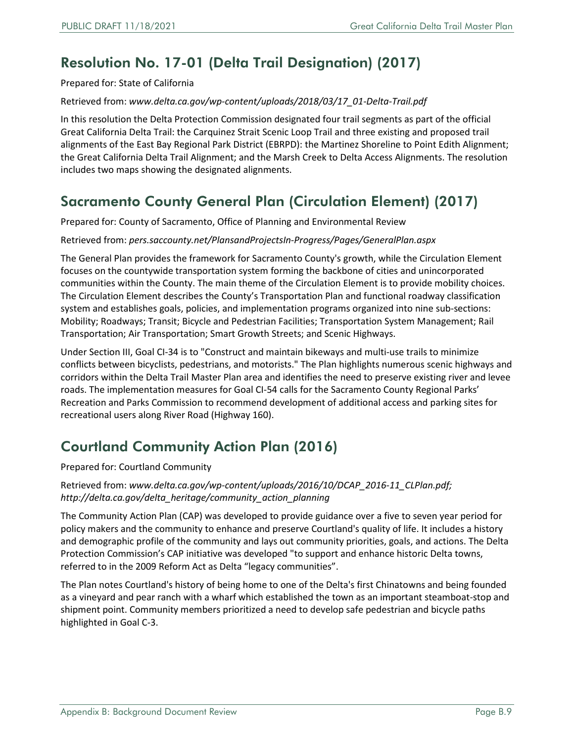### <span id="page-8-0"></span>Resolution No. 17-01 (Delta Trail Designation) (2017)

Prepared for: State of California

Retrieved from: *[www.delta.ca.gov/wp-content/uploads/2018/03/17\\_01-Delta-Trail.pdf](http://www.delta.ca.gov/wp-content/uploads/2018/03/17_01-Delta-Trail.pdf)*

In this resolution the Delta Protection Commission designated four trail segments as part of the official Great California Delta Trail: the Carquinez Strait Scenic Loop Trail and three existing and proposed trail alignments of the East Bay Regional Park District (EBRPD): the Martinez Shoreline to Point Edith Alignment; the Great California Delta Trail Alignment; and the Marsh Creek to Delta Access Alignments. The resolution includes two maps showing the designated alignments.

#### <span id="page-8-1"></span>Sacramento County General Plan (Circulation Element) (2017)

Prepared for: County of Sacramento, Office of Planning and Environmental Review

Retrieved from: *pers.saccounty.net/PlansandProjectsIn-Progress/Pages/GeneralPlan.aspx*

The General Plan provides the framework for Sacramento County's growth, while the Circulation Element focuses on the countywide transportation system forming the backbone of cities and unincorporated communities within the County. The main theme of the Circulation Element is to provide mobility choices. The Circulation Element describes the County's Transportation Plan and functional roadway classification system and establishes goals, policies, and implementation programs organized into nine sub-sections: Mobility; Roadways; Transit; Bicycle and Pedestrian Facilities; Transportation System Management; Rail Transportation; Air Transportation; Smart Growth Streets; and Scenic Highways.

Under Section III, Goal CI-34 is to "Construct and maintain bikeways and multi-use trails to minimize conflicts between bicyclists, pedestrians, and motorists." The Plan highlights numerous scenic highways and corridors within the Delta Trail Master Plan area and identifies the need to preserve existing river and levee roads. The implementation measures for Goal CI-54 calls for the Sacramento County Regional Parks' Recreation and Parks Commission to recommend development of additional access and parking sites for recreational users along River Road (Highway 160).

#### <span id="page-8-2"></span>Courtland Community Action Plan (2016)

Prepared for: Courtland Community

Retrieved from: *www.delta.ca.gov/wp-content/uploads/2016/10/DCAP\_2016-11\_CLPlan.pdf; [http://delta.ca.gov/delta\\_heritage/community\\_action\\_planning](http://delta.ca.gov/delta_heritage/community_action_planning)*

The Community Action Plan (CAP) was developed to provide guidance over a five to seven year period for policy makers and the community to enhance and preserve Courtland's quality of life. It includes a history and demographic profile of the community and lays out community priorities, goals, and actions. The Delta Protection Commission's CAP initiative was developed "to support and enhance historic Delta towns, referred to in the 2009 Reform Act as Delta "legacy communities".

The Plan notes Courtland's history of being home to one of the Delta's first Chinatowns and being founded as a vineyard and pear ranch with a wharf which established the town as an important steamboat-stop and shipment point. Community members prioritized a need to develop safe pedestrian and bicycle paths highlighted in Goal C-3.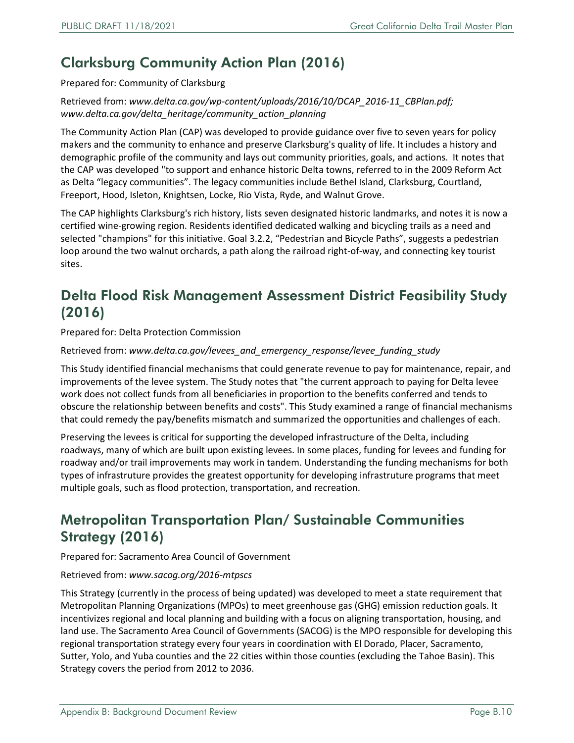### <span id="page-9-0"></span>Clarksburg Community Action Plan (2016)

Prepared for: Community of Clarksburg

Retrieved from: *www.delta.ca.gov/wp-content/uploads/2016/10/DCAP\_2016-11\_CBPlan.pdf; [www.delta.ca.gov/delta\\_heritage/community\\_action\\_planning](http://www.delta.ca.gov/delta_heritage/community_action_planning)*

The Community Action Plan (CAP) was developed to provide guidance over five to seven years for policy makers and the community to enhance and preserve Clarksburg's quality of life. It includes a history and demographic profile of the community and lays out community priorities, goals, and actions. It notes that the CAP was developed "to support and enhance historic Delta towns, referred to in the 2009 Reform Act as Delta "legacy communities". The legacy communities include Bethel Island, Clarksburg, Courtland, Freeport, Hood, Isleton, Knightsen, Locke, Rio Vista, Ryde, and Walnut Grove.

The CAP highlights Clarksburg's rich history, lists seven designated historic landmarks, and notes it is now a certified wine-growing region. Residents identified dedicated walking and bicycling trails as a need and selected "champions" for this initiative. Goal 3.2.2, "Pedestrian and Bicycle Paths", suggests a pedestrian loop around the two walnut orchards, a path along the railroad right-of-way, and connecting key tourist sites.

### <span id="page-9-1"></span>Delta Flood Risk Management Assessment District Feasibility Study (2016)

Prepared for: Delta Protection Commission

Retrieved from: *[www.delta.ca.gov/levees\\_and\\_emergency\\_response/levee\\_funding\\_study](http://www.delta.ca.gov/levees_and_emergency_response/levee_funding_study)*

This Study identified financial mechanisms that could generate revenue to pay for maintenance, repair, and improvements of the levee system. The Study notes that "the current approach to paying for Delta levee work does not collect funds from all beneficiaries in proportion to the benefits conferred and tends to obscure the relationship between benefits and costs". This Study examined a range of financial mechanisms that could remedy the pay/benefits mismatch and summarized the opportunities and challenges of each.

Preserving the levees is critical for supporting the developed infrastructure of the Delta, including roadways, many of which are built upon existing levees. In some places, funding for levees and funding for roadway and/or trail improvements may work in tandem. Understanding the funding mechanisms for both types of infrastruture provides the greatest opportunity for developing infrastruture programs that meet multiple goals, such as flood protection, transportation, and recreation.

#### <span id="page-9-2"></span>Metropolitan Transportation Plan/ Sustainable Communities Strategy (2016)

Prepared for: Sacramento Area Council of Government

#### Retrieved from: *[www.sacog.org/2016-mtpscs](http://www.sacog.org/2016-mtpscs)*

This Strategy (currently in the process of being updated) was developed to meet a state requirement that Metropolitan Planning Organizations (MPOs) to meet greenhouse gas (GHG) emission reduction goals. It incentivizes regional and local planning and building with a focus on aligning transportation, housing, and land use. The Sacramento Area Council of Governments (SACOG) is the MPO responsible for developing this regional transportation strategy every four years in coordination with El Dorado, Placer, Sacramento, Sutter, Yolo, and Yuba counties and the 22 cities within those counties (excluding the Tahoe Basin). This Strategy covers the period from 2012 to 2036.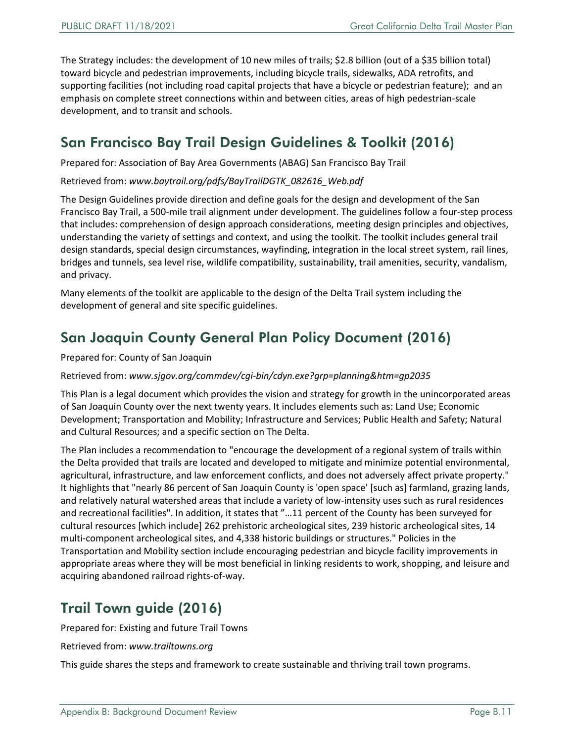The Strategy includes: the development of 10 new miles of trails; \$2.8 billion (out of a \$35 billion total) toward bicycle and pedestrian improvements, including bicycle trails, sidewalks, ADA retrofits, and supporting facilities (not including road capital projects that have a bicycle or pedestrian feature); and an emphasis on complete street connections within and between cities, areas of high pedestrian-scale development, and to transit and schools.

#### <span id="page-10-0"></span>San Francisco Bay Trail Design Guidelines & Toolkit (2016)

Prepared for: Association of Bay Area Governments (ABAG) San Francisco Bay Trail

Retrieved from: *[www.baytrail.org/pdfs/BayTrailDGTK\\_082616\\_Web.pdf](http://www.baytrail.org/pdfs/BayTrailDGTK_082616_Web.pdf)*

The Design Guidelines provide direction and define goals for the design and development of the San Francisco Bay Trail, a 500-mile trail alignment under development. The guidelines follow a four-step process that includes: comprehension of design approach considerations, meeting design principles and objectives, understanding the variety of settings and context, and using the toolkit. The toolkit includes general trail design standards, special design circumstances, wayfinding, integration in the local street system, rail lines, bridges and tunnels, sea level rise, wildlife compatibility, sustainability, trail amenities, security, vandalism, and privacy.

Many elements of the toolkit are applicable to the design of the Delta Trail system including the development of general and site specific guidelines.

#### <span id="page-10-1"></span>San Joaquin County General Plan Policy Document (2016)

Prepared for: County of San Joaquin

Retrieved from: *[www.sjgov.org/commdev/cgi-bin/cdyn.exe?grp=planning&htm=gp2035](http://www.sjgov.org/commdev/cgi-bin/cdyn.exe?grp=planning&htm=gp2035)*

This Plan is a legal document which provides the vision and strategy for growth in the unincorporated areas of San Joaquin County over the next twenty years. It includes elements such as: Land Use; Economic Development; Transportation and Mobility; Infrastructure and Services; Public Health and Safety; Natural and Cultural Resources; and a specific section on The Delta.

The Plan includes a recommendation to "encourage the development of a regional system of trails within the Delta provided that trails are located and developed to mitigate and minimize potential environmental, agricultural, infrastructure, and law enforcement conflicts, and does not adversely affect private property." It highlights that "nearly 86 percent of San Joaquin County is 'open space' [such as] farmland, grazing lands, and relatively natural watershed areas that include a variety of low-intensity uses such as rural residences and recreational facilities". In addition, it states that "…11 percent of the County has been surveyed for cultural resources [which include] 262 prehistoric archeological sites, 239 historic archeological sites, 14 multi-component archeological sites, and 4,338 historic buildings or structures." Policies in the Transportation and Mobility section include encouraging pedestrian and bicycle facility improvements in appropriate areas where they will be most beneficial in linking residents to work, shopping, and leisure and acquiring abandoned railroad rights-of-way.

#### <span id="page-10-2"></span>Trail Town guide (2016)

Prepared for: Existing and future Trail Towns

Retrieved from: *[www.trailtowns.org](http://www.trailtowns.org/)*

This guide shares the steps and framework to create sustainable and thriving trail town programs.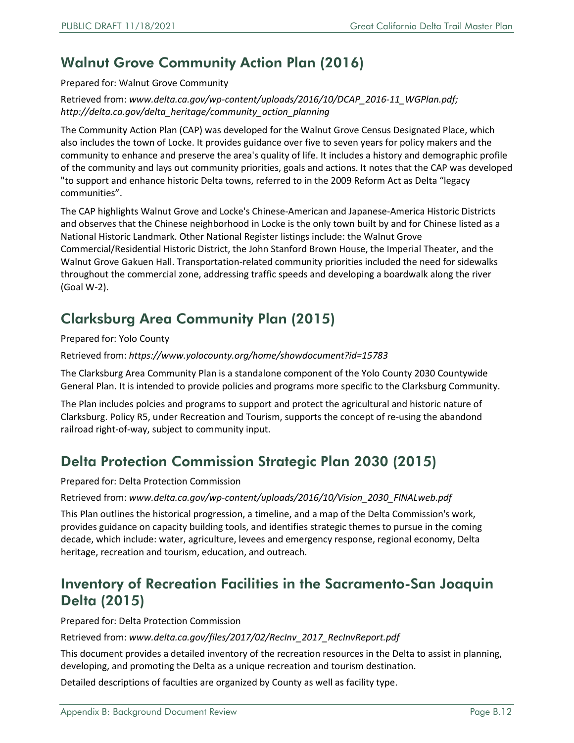### <span id="page-11-0"></span>Walnut Grove Community Action Plan (2016)

Prepared for: Walnut Grove Community

Retrieved from: *www.delta.ca.gov/wp-content/uploads/2016/10/DCAP\_2016-11\_WGPlan.pdf; [http://delta.ca.gov/delta\\_heritage/community\\_action\\_planning](http://delta.ca.gov/delta_heritage/community_action_planning)*

The Community Action Plan (CAP) was developed for the Walnut Grove Census Designated Place, which also includes the town of Locke. It provides guidance over five to seven years for policy makers and the community to enhance and preserve the area's quality of life. It includes a history and demographic profile of the community and lays out community priorities, goals and actions. It notes that the CAP was developed "to support and enhance historic Delta towns, referred to in the 2009 Reform Act as Delta "legacy communities".

The CAP highlights Walnut Grove and Locke's Chinese-American and Japanese-America Historic Districts and observes that the Chinese neighborhood in Locke is the only town built by and for Chinese listed as a National Historic Landmark. Other National Register listings include: the Walnut Grove Commercial/Residential Historic District, the John Stanford Brown House, the Imperial Theater, and the Walnut Grove Gakuen Hall. Transportation-related community priorities included the need for sidewalks throughout the commercial zone, addressing traffic speeds and developing a boardwalk along the river (Goal W-2).

### <span id="page-11-1"></span>Clarksburg Area Community Plan (2015)

Prepared for: Yolo County

Retrieved from: *<https://www.yolocounty.org/home/showdocument?id=15783>*

The Clarksburg Area Community Plan is a standalone component of the Yolo County 2030 Countywide General Plan. It is intended to provide policies and programs more specific to the Clarksburg Community.

The Plan includes polcies and programs to support and protect the agricultural and historic nature of Clarksburg. Policy R5, under Recreation and Tourism, supports the concept of re-using the abandond railroad right-of-way, subject to community input.

#### <span id="page-11-2"></span>Delta Protection Commission Strategic Plan 2030 (2015)

Prepared for: Delta Protection Commission

Retrieved from: *[www.delta.ca.gov/wp-content/uploads/2016/10/Vision\\_2030\\_FINALweb.pdf](http://www.delta.ca.gov/wp-content/uploads/2016/10/Vision_2030_FINALweb.pdf)*

This Plan outlines the historical progression, a timeline, and a map of the Delta Commission's work, provides guidance on capacity building tools, and identifies strategic themes to pursue in the coming decade, which include: water, agriculture, levees and emergency response, regional economy, Delta heritage, recreation and tourism, education, and outreach.

#### <span id="page-11-3"></span>Inventory of Recreation Facilities in the Sacramento-San Joaquin Delta (2015)

Prepared for: Delta Protection Commission

Retrieved from: *[www.delta.ca.gov/files/2017/02/RecInv\\_2017\\_RecInvReport.pdf](http://www.delta.ca.gov/files/2017/02/RecInv_2017_RecInvReport.pdf)*

This document provides a detailed inventory of the recreation resources in the Delta to assist in planning, developing, and promoting the Delta as a unique recreation and tourism destination.

Detailed descriptions of faculties are organized by County as well as facility type.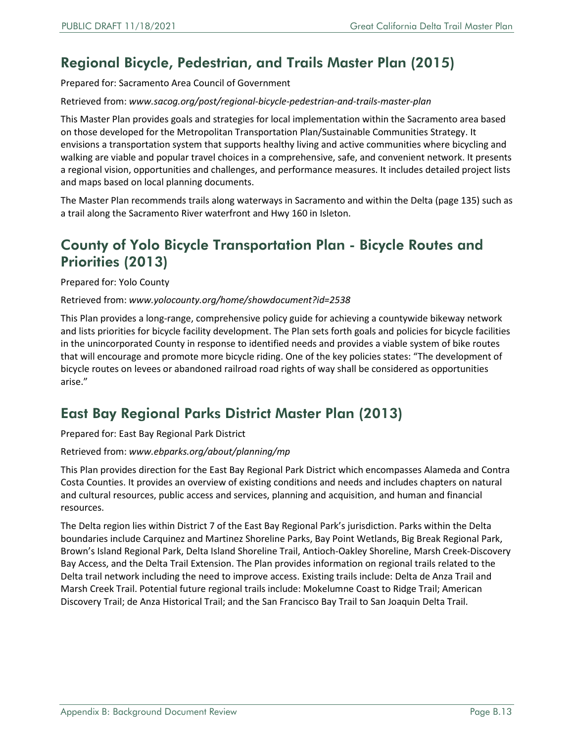### <span id="page-12-0"></span>Regional Bicycle, Pedestrian, and Trails Master Plan (2015)

Prepared for: Sacramento Area Council of Government

#### Retrieved from: *[www.sacog.org/post/regional-bicycle-pedestrian-and-trails-master-plan](http://www.sacog.org/post/regional-bicycle-pedestrian-and-trails-master-plan)*

This Master Plan provides goals and strategies for local implementation within the Sacramento area based on those developed for the Metropolitan Transportation Plan/Sustainable Communities Strategy. It envisions a transportation system that supports healthy living and active communities where bicycling and walking are viable and popular travel choices in a comprehensive, safe, and convenient network. It presents a regional vision, opportunities and challenges, and performance measures. It includes detailed project lists and maps based on local planning documents.

The Master Plan recommends trails along waterways in Sacramento and within the Delta (page 135) such as a trail along the Sacramento River waterfront and Hwy 160 in Isleton.

#### <span id="page-12-1"></span>County of Yolo Bicycle Transportation Plan - Bicycle Routes and Priorities (2013)

Prepared for: Yolo County

#### Retrieved from: *[www.yolocounty.org/home/showdocument?id=2538](http://www.yolocounty.org/home/showdocument?id=2538)*

This Plan provides a long-range, comprehensive policy guide for achieving a countywide bikeway network and lists priorities for bicycle facility development. The Plan sets forth goals and policies for bicycle facilities in the unincorporated County in response to identified needs and provides a viable system of bike routes that will encourage and promote more bicycle riding. One of the key policies states: "The development of bicycle routes on levees or abandoned railroad road rights of way shall be considered as opportunities arise."

#### <span id="page-12-2"></span>East Bay Regional Parks District Master Plan (2013)

Prepared for: East Bay Regional Park District

#### Retrieved from: *[www.ebparks.org/about/planning/mp](http://www.ebparks.org/about/planning/mp)*

This Plan provides direction for the East Bay Regional Park District which encompasses Alameda and Contra Costa Counties. It provides an overview of existing conditions and needs and includes chapters on natural and cultural resources, public access and services, planning and acquisition, and human and financial resources.

The Delta region lies within District 7 of the East Bay Regional Park's jurisdiction. Parks within the Delta boundaries include Carquinez and Martinez Shoreline Parks, Bay Point Wetlands, Big Break Regional Park, Brown's Island Regional Park, Delta Island Shoreline Trail, Antioch-Oakley Shoreline, Marsh Creek-Discovery Bay Access, and the Delta Trail Extension. The Plan provides information on regional trails related to the Delta trail network including the need to improve access. Existing trails include: Delta de Anza Trail and Marsh Creek Trail. Potential future regional trails include: Mokelumne Coast to Ridge Trail; American Discovery Trail; de Anza Historical Trail; and the San Francisco Bay Trail to San Joaquin Delta Trail.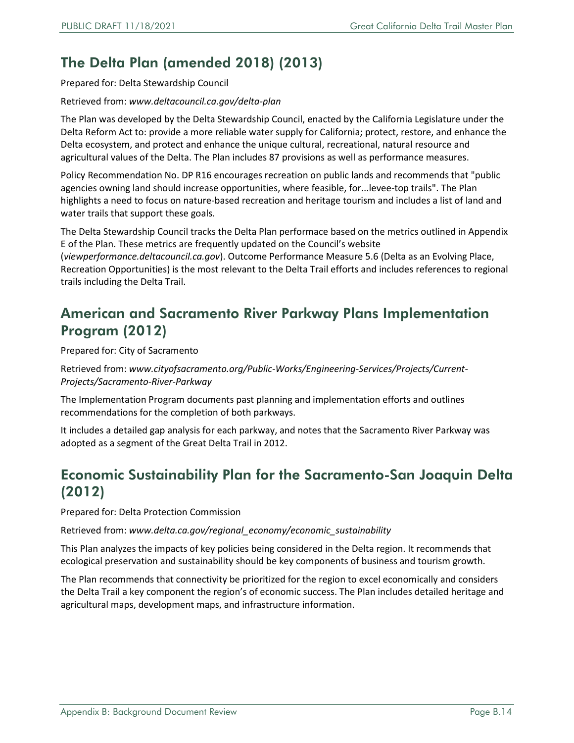### <span id="page-13-0"></span>The Delta Plan (amended 2018) (2013)

Prepared for: Delta Stewardship Council

#### Retrieved from: *[www.deltacouncil.ca.gov/delta-plan](http://www.deltacouncil.ca.gov/delta-plan)*

The Plan was developed by the Delta Stewardship Council, enacted by the California Legislature under the Delta Reform Act to: provide a more reliable water supply for California; protect, restore, and enhance the Delta ecosystem, and protect and enhance the unique cultural, recreational, natural resource and agricultural values of the Delta. The Plan includes 87 provisions as well as performance measures.

Policy Recommendation No. DP R16 encourages recreation on public lands and recommends that "public agencies owning land should increase opportunities, where feasible, for...levee-top trails". The Plan highlights a need to focus on nature-based recreation and heritage tourism and includes a list of land and water trails that support these goals.

The Delta Stewardship Council tracks the Delta Plan performace based on the metrics outlined in Appendix E of the Plan. These metrics are frequently updated on the Council's website

(*[viewperformance.deltacouncil.ca.gov](https://viewperformance.deltacouncil.ca.gov/pm/recreation-opportunities)*). Outcome Performance Measure 5.6 (Delta as an Evolving Place, Recreation Opportunities) is the most relevant to the Delta Trail efforts and includes references to regional trails including the Delta Trail.

#### <span id="page-13-1"></span>American and Sacramento River Parkway Plans Implementation Program (2012)

Prepared for: City of Sacramento

Retrieved from: *[www.cityofsacramento.org/Public-Works/Engineering-Services/Projects/Current-](http://www.cityofsacramento.org/Public-Works/Engineering-Services/Projects/Current-Projects/Sacramento-River-Parkway)Projects/Sacramento-River-Parkway*

The Implementation Program documents past planning and implementation efforts and outlines recommendations for the completion of both parkways.

It includes a detailed gap analysis for each parkway, and notes that the Sacramento River Parkway was adopted as a segment of the Great Delta Trail in 2012.

#### <span id="page-13-2"></span>Economic Sustainability Plan for the Sacramento-San Joaquin Delta (2012)

Prepared for: Delta Protection Commission

Retrieved from: *[www.delta.ca.gov/regional\\_economy/economic\\_sustainability](http://www.delta.ca.gov/regional_economy/economic_sustainability)*

This Plan analyzes the impacts of key policies being considered in the Delta region. It recommends that ecological preservation and sustainability should be key components of business and tourism growth.

The Plan recommends that connectivity be prioritized for the region to excel economically and considers the Delta Trail a key component the region's of economic success. The Plan includes detailed heritage and agricultural maps, development maps, and infrastructure information.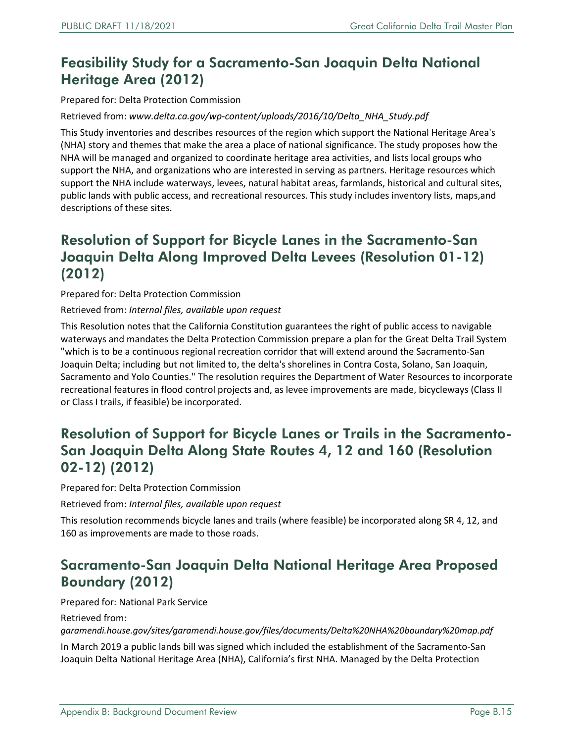#### <span id="page-14-0"></span>Feasibility Study for a Sacramento-San Joaquin Delta National Heritage Area (2012)

Prepared for: Delta Protection Commission

Retrieved from: *[www.delta.ca.gov/wp-content/uploads/2016/10/Delta\\_NHA\\_Study.pdf](http://www.delta.ca.gov/wp-content/uploads/2016/10/Delta_NHA_Study.pdf)*

This Study inventories and describes resources of the region which support the National Heritage Area's (NHA) story and themes that make the area a place of national significance. The study proposes how the NHA will be managed and organized to coordinate heritage area activities, and lists local groups who support the NHA, and organizations who are interested in serving as partners. Heritage resources which support the NHA include waterways, levees, natural habitat areas, farmlands, historical and cultural sites, public lands with public access, and recreational resources. This study includes inventory lists, maps,and descriptions of these sites.

#### <span id="page-14-1"></span>Resolution of Support for Bicycle Lanes in the Sacramento-San Joaquin Delta Along Improved Delta Levees (Resolution 01-12) (2012)

Prepared for: Delta Protection Commission

Retrieved from: *Internal files, available upon request*

This Resolution notes that the California Constitution guarantees the right of public access to navigable waterways and mandates the Delta Protection Commission prepare a plan for the Great Delta Trail System "which is to be a continuous regional recreation corridor that will extend around the Sacramento-San Joaquin Delta; including but not limited to, the delta's shorelines in Contra Costa, Solano, San Joaquin, Sacramento and Yolo Counties." The resolution requires the Department of Water Resources to incorporate recreational features in flood control projects and, as levee improvements are made, bicycleways (Class II or Class I trails, if feasible) be incorporated.

#### <span id="page-14-2"></span>Resolution of Support for Bicycle Lanes or Trails in the Sacramento-San Joaquin Delta Along State Routes 4, 12 and 160 (Resolution 02-12) (2012)

Prepared for: Delta Protection Commission

Retrieved from: *Internal files, available upon request*

This resolution recommends bicycle lanes and trails (where feasible) be incorporated along SR 4, 12, and 160 as improvements are made to those roads.

#### <span id="page-14-3"></span>Sacramento-San Joaquin Delta National Heritage Area Proposed Boundary (2012)

Prepared for: National Park Service

Retrieved from:

*garamendi.house.gov/sites/garamendi.house.gov/files/documents/Delta%20NHA%20boundary%20map.pdf*

In March 2019 a public lands bill was signed which included the establishment of the Sacramento-San Joaquin Delta National Heritage Area (NHA), California's first NHA. Managed by the Delta Protection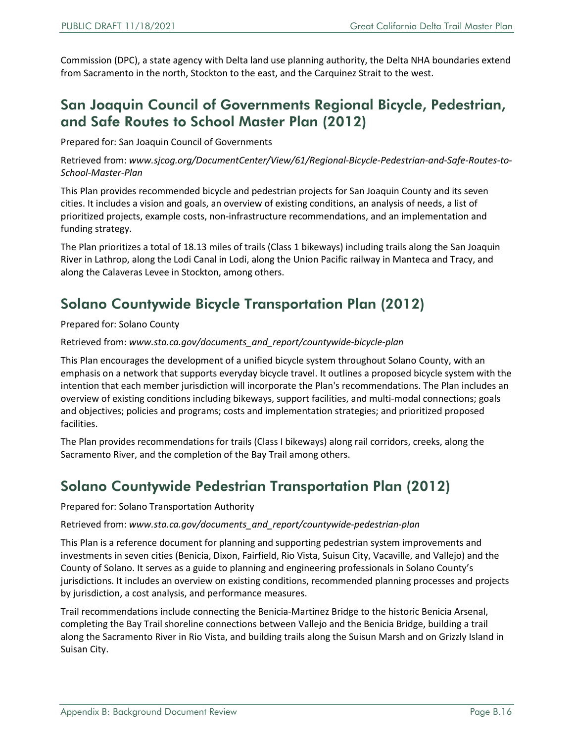Commission (DPC), a state agency with Delta land use planning authority, the Delta NHA boundaries extend from Sacramento in the north, Stockton to the east, and the Carquinez Strait to the west.

#### <span id="page-15-0"></span>San Joaquin Council of Governments Regional Bicycle, Pedestrian, and Safe Routes to School Master Plan (2012)

Prepared for: San Joaquin Council of Governments

Retrieved from: *[www.sjcog.org/DocumentCenter/View/61/Regional-Bicycle-Pedestrian-and-Safe-Routes-to-](http://www.sjcog.org/DocumentCenter/View/61/Regional-Bicycle-Pedestrian-and-Safe-Routes-to-School-Master-Plan)School-Master-Plan*

This Plan provides recommended bicycle and pedestrian projects for San Joaquin County and its seven cities. It includes a vision and goals, an overview of existing conditions, an analysis of needs, a list of prioritized projects, example costs, non-infrastructure recommendations, and an implementation and funding strategy.

The Plan prioritizes a total of 18.13 miles of trails (Class 1 bikeways) including trails along the San Joaquin River in Lathrop, along the Lodi Canal in Lodi, along the Union Pacific railway in Manteca and Tracy, and along the Calaveras Levee in Stockton, among others.

#### <span id="page-15-1"></span>Solano Countywide Bicycle Transportation Plan (2012)

Prepared for: Solano County

Retrieved from: *[www.sta.ca.gov/documents\\_and\\_report/countywide-bicycle-plan](http://www.sta.ca.gov/documents_and_report/countywide-bicycle-plan)* 

This Plan encourages the development of a unified bicycle system throughout Solano County, with an emphasis on a network that supports everyday bicycle travel. It outlines a proposed bicycle system with the intention that each member jurisdiction will incorporate the Plan's recommendations. The Plan includes an overview of existing conditions including bikeways, support facilities, and multi-modal connections; goals and objectives; policies and programs; costs and implementation strategies; and prioritized proposed facilities.

The Plan provides recommendations for trails (Class I bikeways) along rail corridors, creeks, along the Sacramento River, and the completion of the Bay Trail among others.

#### <span id="page-15-2"></span>Solano Countywide Pedestrian Transportation Plan (2012)

#### Prepared for: Solano Transportation Authority

Retrieved from: *[www.sta.ca.gov/documents\\_and\\_report/countywide-pedestrian-plan](http://www.sta.ca.gov/documents_and_report/countywide-pedestrian-plan)*

This Plan is a reference document for planning and supporting pedestrian system improvements and investments in seven cities (Benicia, Dixon, Fairfield, Rio Vista, Suisun City, Vacaville, and Vallejo) and the County of Solano. It serves as a guide to planning and engineering professionals in Solano County's jurisdictions. It includes an overview on existing conditions, recommended planning processes and projects by jurisdiction, a cost analysis, and performance measures.

Trail recommendations include connecting the Benicia-Martinez Bridge to the historic Benicia Arsenal, completing the Bay Trail shoreline connections between Vallejo and the Benicia Bridge, building a trail along the Sacramento River in Rio Vista, and building trails along the Suisun Marsh and on Grizzly Island in Suisan City.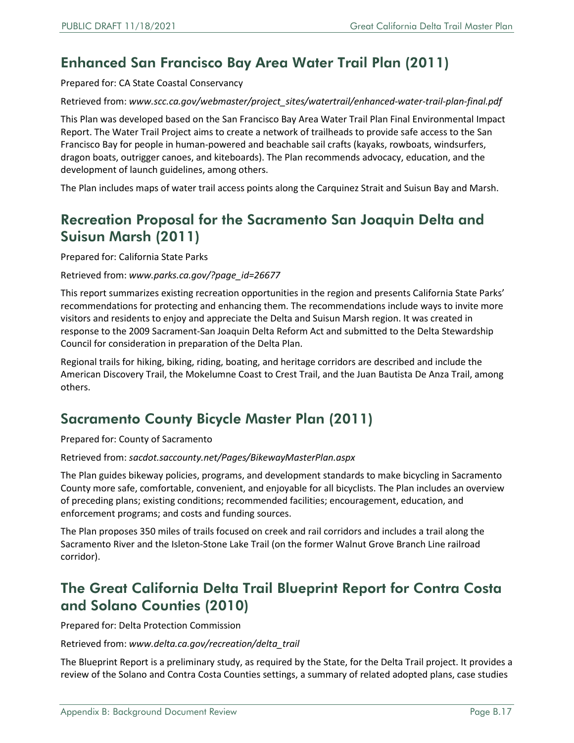### <span id="page-16-0"></span>Enhanced San Francisco Bay Area Water Trail Plan (2011)

Prepared for: CA State Coastal Conservancy

Retrieved from: *[www.scc.ca.gov/webmaster/project\\_sites/watertrail/enhanced-water-trail-plan-final.pdf](http://www.scc.ca.gov/webmaster/project_sites/watertrail/enhanced-water-trail-plan-final.pdf)*

This Plan was developed based on the San Francisco Bay Area Water Trail Plan Final Environmental Impact Report. The Water Trail Project aims to create a network of trailheads to provide safe access to the San Francisco Bay for people in human-powered and beachable sail crafts (kayaks, rowboats, windsurfers, dragon boats, outrigger canoes, and kiteboards). The Plan recommends advocacy, education, and the development of launch guidelines, among others.

The Plan includes maps of water trail access points along the Carquinez Strait and Suisun Bay and Marsh.

#### <span id="page-16-1"></span>Recreation Proposal for the Sacramento San Joaquin Delta and Suisun Marsh (2011)

Prepared for: California State Parks

Retrieved from: *[www.parks.ca.gov/?page\\_id=26677](http://www.parks.ca.gov/?page_id=26677)*

This report summarizes existing recreation opportunities in the region and presents California State Parks' recommendations for protecting and enhancing them. The recommendations include ways to invite more visitors and residents to enjoy and appreciate the Delta and Suisun Marsh region. It was created in response to the 2009 Sacrament-San Joaquin Delta Reform Act and submitted to the Delta Stewardship Council for consideration in preparation of the Delta Plan.

Regional trails for hiking, biking, riding, boating, and heritage corridors are described and include the American Discovery Trail, the Mokelumne Coast to Crest Trail, and the Juan Bautista De Anza Trail, among others.

#### <span id="page-16-2"></span>Sacramento County Bicycle Master Plan (2011)

Prepared for: County of Sacramento

Retrieved from: *sacdot.saccounty.net/Pages/BikewayMasterPlan.aspx*

The Plan guides bikeway policies, programs, and development standards to make bicycling in Sacramento County more safe, comfortable, convenient, and enjoyable for all bicyclists. The Plan includes an overview of preceding plans; existing conditions; recommended facilities; encouragement, education, and enforcement programs; and costs and funding sources.

The Plan proposes 350 miles of trails focused on creek and rail corridors and includes a trail along the Sacramento River and the Isleton-Stone Lake Trail (on the former Walnut Grove Branch Line railroad corridor).

#### <span id="page-16-3"></span>The Great California Delta Trail Blueprint Report for Contra Costa and Solano Counties (2010)

Prepared for: Delta Protection Commission

Retrieved from: *[www.delta.ca.gov/recreation/delta\\_trail](http://www.delta.ca.gov/recreation/delta_trail)*

The Blueprint Report is a preliminary study, as required by the State, for the Delta Trail project. It provides a review of the Solano and Contra Costa Counties settings, a summary of related adopted plans, case studies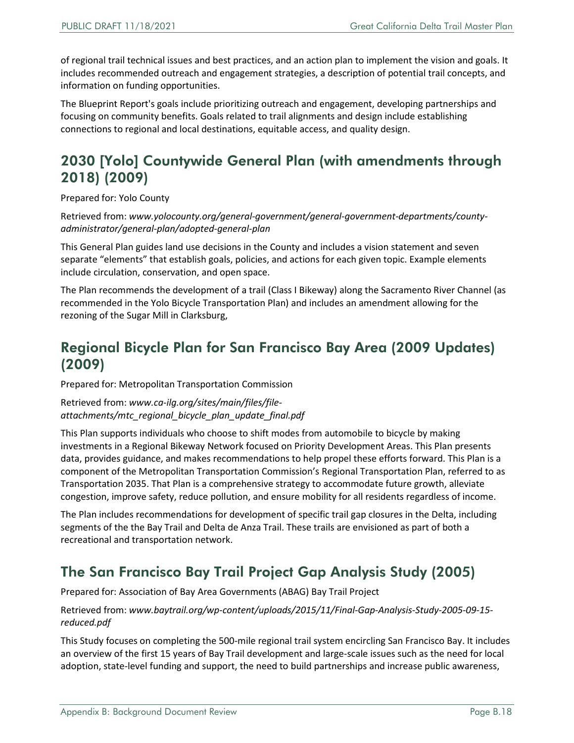of regional trail technical issues and best practices, and an action plan to implement the vision and goals. It includes recommended outreach and engagement strategies, a description of potential trail concepts, and information on funding opportunities.

The Blueprint Report's goals include prioritizing outreach and engagement, developing partnerships and focusing on community benefits. Goals related to trail alignments and design include establishing connections to regional and local destinations, equitable access, and quality design.

#### <span id="page-17-0"></span>2030 [Yolo] Countywide General Plan (with amendments through 2018) (2009)

Prepared for: Yolo County

Retrieved from: *[www.yolocounty.org/general-government/general-government-departments/county](http://www.yolocounty.org/general-government/general-government-departments/county-administrator/general-plan/adopted-general-plan)administrator/general-plan/adopted-general-plan*

This General Plan guides land use decisions in the County and includes a vision statement and seven separate "elements" that establish goals, policies, and actions for each given topic. Example elements include circulation, conservation, and open space.

The Plan recommends the development of a trail (Class I Bikeway) along the Sacramento River Channel (as recommended in the Yolo Bicycle Transportation Plan) and includes an amendment allowing for the rezoning of the Sugar Mill in Clarksburg,

#### <span id="page-17-1"></span>Regional Bicycle Plan for San Francisco Bay Area (2009 Updates) (2009)

Prepared for: Metropolitan Transportation Commission

Retrieved from: *www.ca-ilg.org/sites/main/files/file[attachments/mtc\\_regional\\_bicycle\\_plan\\_update\\_final.pdf](http://www.ca-ilg.org/sites/main/files/file-attachments/mtc_regional_bicycle_plan_update_final.pdf)*

This Plan supports individuals who choose to shift modes from automobile to bicycle by making investments in a Regional Bikeway Network focused on Priority Development Areas. This Plan presents data, provides guidance, and makes recommendations to help propel these efforts forward. This Plan is a component of the Metropolitan Transportation Commission's Regional Transportation Plan, referred to as Transportation 2035. That Plan is a comprehensive strategy to accommodate future growth, alleviate congestion, improve safety, reduce pollution, and ensure mobility for all residents regardless of income.

The Plan includes recommendations for development of specific trail gap closures in the Delta, including segments of the the Bay Trail and Delta de Anza Trail. These trails are envisioned as part of both a recreational and transportation network.

#### <span id="page-17-2"></span>The San Francisco Bay Trail Project Gap Analysis Study (2005)

Prepared for: Association of Bay Area Governments (ABAG) Bay Trail Project

Retrieved from: *[www.baytrail.org/wp-content/uploads/2015/11/Final-Gap-Analysis-Study-2005-09-15](http://www.baytrail.org/wp-content/uploads/2015/11/Final-Gap-Analysis-Study-2005-09-15-reduced.pdf) reduced.pdf*

This Study focuses on completing the 500-mile regional trail system encircling San Francisco Bay. It includes an overview of the first 15 years of Bay Trail development and large-scale issues such as the need for local adoption, state-level funding and support, the need to build partnerships and increase public awareness,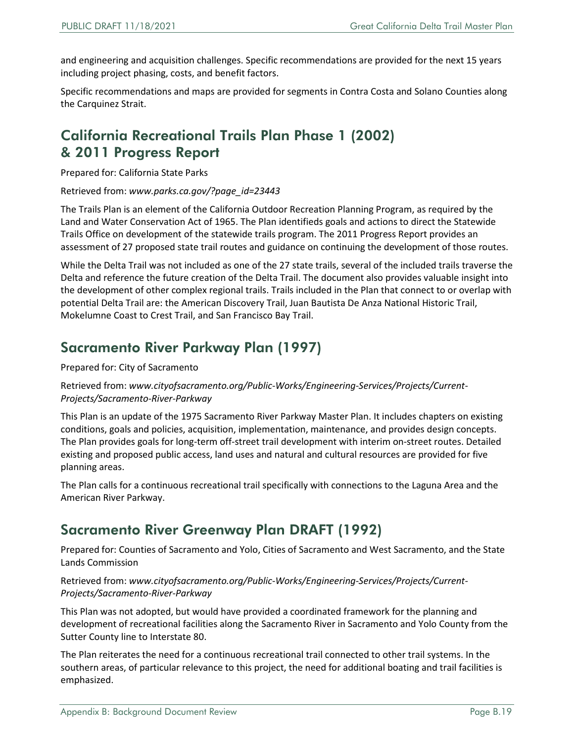and engineering and acquisition challenges. Specific recommendations are provided for the next 15 years including project phasing, costs, and benefit factors.

Specific recommendations and maps are provided for segments in Contra Costa and Solano Counties along the Carquinez Strait.

#### <span id="page-18-0"></span>California Recreational Trails Plan Phase 1 (2002) & 2011 Progress Report

Prepared for: California State Parks

Retrieved from: *[www.parks.ca.gov/?page\\_id=23443](http://www.parks.ca.gov/?page_id=23443)*

The Trails Plan is an element of the California Outdoor Recreation Planning Program, as required by the Land and Water Conservation Act of 1965. The Plan identifieds goals and actions to direct the Statewide Trails Office on development of the statewide trails program. The 2011 Progress Report provides an assessment of 27 proposed state trail routes and guidance on continuing the development of those routes.

While the Delta Trail was not included as one of the 27 state trails, several of the included trails traverse the Delta and reference the future creation of the Delta Trail. The document also provides valuable insight into the development of other complex regional trails. Trails included in the Plan that connect to or overlap with potential Delta Trail are: the American Discovery Trail, Juan Bautista De Anza National Historic Trail, Mokelumne Coast to Crest Trail, and San Francisco Bay Trail.

#### <span id="page-18-1"></span>Sacramento River Parkway Plan (1997)

#### Prepared for: City of Sacramento

#### Retrieved from: *[www.cityofsacramento.org/Public-Works/Engineering-Services/Projects/Current-](http://www.cityofsacramento.org/Public-Works/Engineering-Services/Projects/Current-Projects/Sacramento-River-Parkway)Projects/Sacramento-River-Parkway*

This Plan is an update of the 1975 Sacramento River Parkway Master Plan. It includes chapters on existing conditions, goals and policies, acquisition, implementation, maintenance, and provides design concepts. The Plan provides goals for long-term off-street trail development with interim on-street routes. Detailed existing and proposed public access, land uses and natural and cultural resources are provided for five planning areas.

The Plan calls for a continuous recreational trail specifically with connections to the Laguna Area and the American River Parkway.

#### <span id="page-18-2"></span>Sacramento River Greenway Plan DRAFT (1992)

Prepared for: Counties of Sacramento and Yolo, Cities of Sacramento and West Sacramento, and the State Lands Commission

#### Retrieved from: *[www.cityofsacramento.org/Public-Works/Engineering-Services/Projects/Current-](http://www.cityofsacramento.org/Public-Works/Engineering-Services/Projects/Current-Projects/Sacramento-River-Parkway)Projects/Sacramento-River-Parkway*

This Plan was not adopted, but would have provided a coordinated framework for the planning and development of recreational facilities along the Sacramento River in Sacramento and Yolo County from the Sutter County line to Interstate 80.

The Plan reiterates the need for a continuous recreational trail connected to other trail systems. In the southern areas, of particular relevance to this project, the need for additional boating and trail facilities is emphasized.